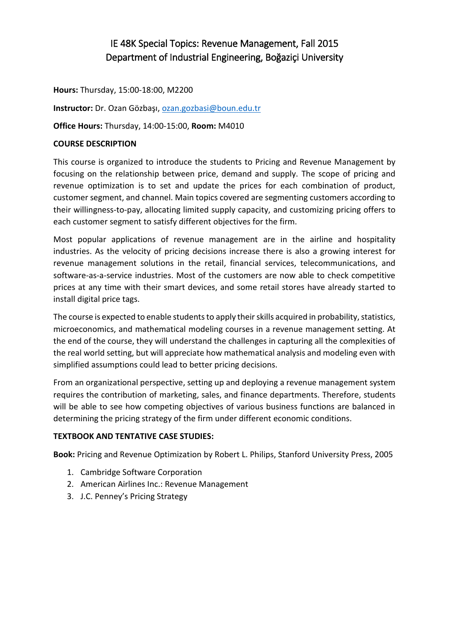# IE 48K Special Topics: Revenue Management, Fall 2015 Department of Industrial Engineering, Boğaziçi University

**Hours:** Thursday, 15:00-18:00, M2200

**Instructor:** Dr. Ozan Gözbaşı[, ozan.gozbasi@boun.edu.tr](mailto:ozan.gozbasi@boun.edu.tr)

**Office Hours:** Thursday, 14:00-15:00, **Room:** M4010

## **COURSE DESCRIPTION**

This course is organized to introduce the students to Pricing and Revenue Management by focusing on the relationship between price, demand and supply. The scope of pricing and revenue optimization is to set and update the prices for each combination of product, customer segment, and channel. Main topics covered are segmenting customers according to their willingness-to-pay, allocating limited supply capacity, and customizing pricing offers to each customer segment to satisfy different objectives for the firm.

Most popular applications of revenue management are in the airline and hospitality industries. As the velocity of pricing decisions increase there is also a growing interest for revenue management solutions in the retail, financial services, telecommunications, and software-as-a-service industries. Most of the customers are now able to check competitive prices at any time with their smart devices, and some retail stores have already started to install digital price tags.

The course is expected to enable students to apply their skills acquired in probability, statistics, microeconomics, and mathematical modeling courses in a revenue management setting. At the end of the course, they will understand the challenges in capturing all the complexities of the real world setting, but will appreciate how mathematical analysis and modeling even with simplified assumptions could lead to better pricing decisions.

From an organizational perspective, setting up and deploying a revenue management system requires the contribution of marketing, sales, and finance departments. Therefore, students will be able to see how competing objectives of various business functions are balanced in determining the pricing strategy of the firm under different economic conditions.

#### **TEXTBOOK AND TENTATIVE CASE STUDIES:**

**Book:** Pricing and Revenue Optimization by Robert L. Philips, Stanford University Press, 2005

- 1. Cambridge Software Corporation
- 2. American Airlines Inc.: Revenue Management
- 3. J.C. Penney's Pricing Strategy